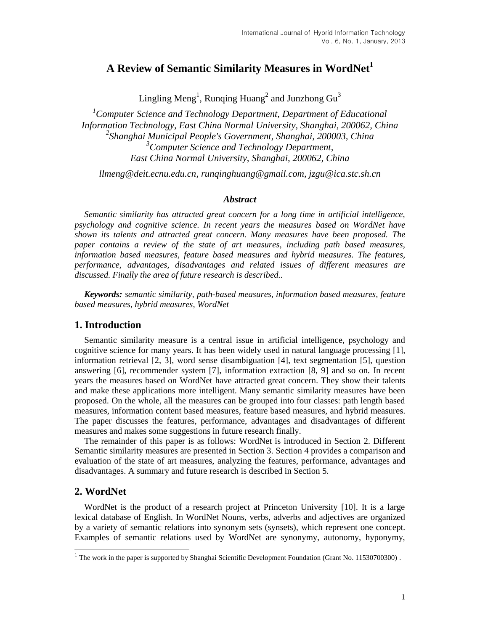# **A Review of Semantic Similarity Measures in WordNet<sup>1</sup>**

Lingling Meng<sup>1</sup>, Runqing Huang<sup>2</sup> and Junzhong Gu<sup>3</sup>

*<sup>1</sup>Computer Science and Technology Department, Department of Educational Information Technology, East China Normal University, Shanghai, 200062, China 2 Shanghai Municipal People's Government, Shanghai, 200003, China <sup>3</sup>Computer Science and Technology Department, East China Normal University, Shanghai, 200062, China* 

*llmeng@deit.ecnu.edu.cn, runqinghuang@gmail.com, jzgu@ica.stc.sh.cn*

## *Abstract*

*Semantic similarity has attracted great concern for a long time in artificial intelligence, psychology and cognitive science. In recent years the measures based on WordNet have shown its talents and attracted great concern. Many measures have been proposed. The paper contains a review of the state of art measures, including path based measures, information based measures, feature based measures and hybrid measures. The features, performance, advantages, disadvantages and related issues of different measures are discussed. Finally the area of future research is described..*

*Keywords: semantic similarity, path-based measures, information based measures, feature based measures, hybrid measures, WordNet*

# **1. Introduction**

Semantic similarity measure is a central issue in artificial intelligence, psychology and cognitive science for many years. It has been widely used in natural language processing [1], information retrieval [2, 3], word sense disambiguation [4], text segmentation [5], question answering [6], recommender system [7], information extraction [8, 9] and so on. In recent years the measures based on WordNet have attracted great concern. They show their talents and make these applications more intelligent. Many semantic similarity measures have been proposed. On the whole, all the measures can be grouped into four classes: path length based measures, information content based measures, feature based measures, and hybrid measures. The paper discusses the features, performance, advantages and disadvantages of different measures and makes some suggestions in future research finally.

The remainder of this paper is as follows: WordNet is introduced in Section 2. Different Semantic similarity measures are presented in Section 3. Section 4 provides a comparison and evaluation of the state of art measures, analyzing the features, performance, advantages and disadvantages. A summary and future research is described in Section 5.

# **2. WordNet**

WordNet is the product of a research project at Princeton University [10]. It is a large lexical database of English. In WordNet Nouns, verbs, adverbs and adjectives are organized by a variety of semantic relations into synonym sets (synsets), which represent one concept. Examples of semantic relations used by WordNet are synonymy, autonomy, hyponymy,

<sup>&</sup>lt;sup>1</sup> The work in the paper is supported by Shanghai Scientific Development Foundation (Grant No. 11530700300).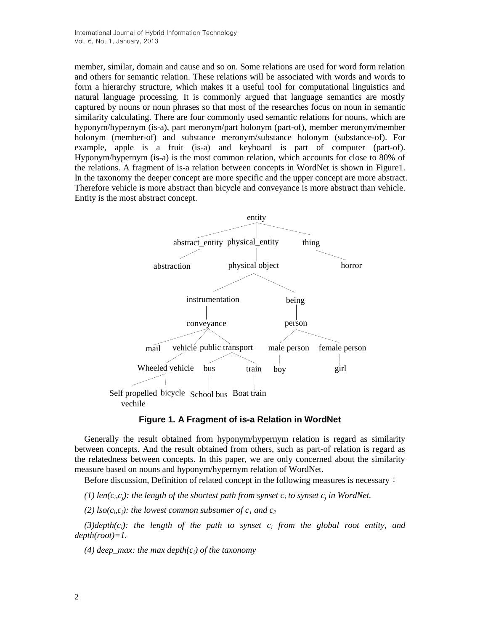member, similar, domain and cause and so on. Some relations are used for word form relation and others for semantic relation. These relations will be associated with words and words to form a hierarchy structure, which makes it a useful tool for computational linguistics and natural language processing. It is commonly argued that language semantics are mostly captured by nouns or noun phrases so that most of the researches focus on noun in semantic similarity calculating. There are four commonly used semantic relations for nouns, which are hyponym/hypernym (is-a), part meronym/part holonym (part-of), member meronym/member holonym (member-of) and substance meronym/substance holonym (substance-of). For example, apple is a fruit (is-a) and keyboard is part of computer (part-of). Hyponym/hypernym (is-a) is the most common relation, which accounts for close to 80% of the relations. A fragment of is-a relation between concepts in WordNet is shown in Figure1. In the taxonomy the deeper concept are more specific and the upper concept are more abstract. Therefore vehicle is more abstract than bicycle and conveyance is more abstract than vehicle. Entity is the most abstract concept.



# **Figure 1. A Fragment of is-a Relation in WordNet**

Generally the result obtained from hyponym/hypernym relation is regard as similarity between concepts. And the result obtained from others, such as part-of relation is regard as the relatedness between concepts. In this paper, we are only concerned about the similarity measure based on nouns and hyponym/hypernym relation of WordNet.

Before discussion, Definition of related concept in the following measures is necessary:

(1) len( $c_i$ , $c_j$ ): the length of the shortest path from synset  $c_i$  to synset  $c_j$  in WordNet.

(2)  $\text{Iso}(c_i, c_j)$ : the lowest common subsumer of  $c_1$  and  $c_2$ 

*(3)depth(ci): the length of the path to synset c<sup>i</sup> from the global root entity, and depth(root)=1.*

*(4) deep\_max: the max depth(ci) of the taxonomy*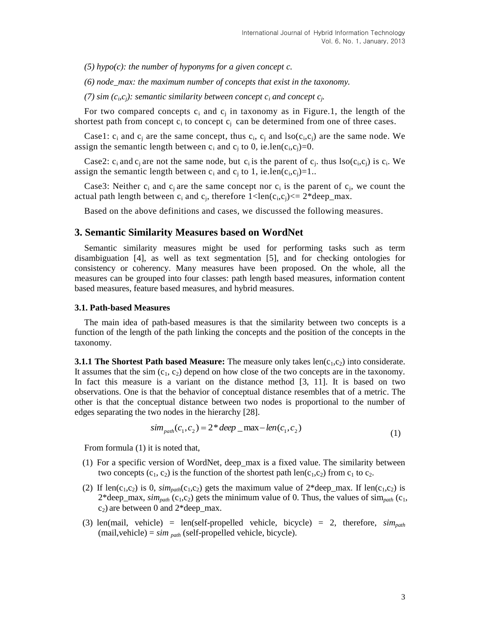*(5) hypo(c): the number of hyponyms for a given concept c.*

*(6) node\_max: the maximum number of concepts that exist in the taxonomy.*

(7) sim  $(c_i, c_j)$ : semantic similarity between concept  $c_i$  and concept  $c_j$ .

For two compared concepts  $c_i$  and  $c_j$  in taxonomy as in Figure.1, the length of the shortest path from concept  $c_i$  to concept  $c_j$  can be determined from one of three cases.

Case1:  $c_i$  and  $c_j$  are the same concept, thus  $c_i$ ,  $c_j$  and  $\text{Iso}(c_i, c_j)$  are the same node. We assign the semantic length between  $c_i$  and  $c_j$  to 0, ie.len( $c_i$ , $c_j$ )=0.

Case2:  $c_i$  and  $c_j$  are not the same node, but  $c_i$  is the parent of  $c_j$ , thus  $\text{Iso}(c_i, c_j)$  is  $c_i$ . We assign the semantic length between  $c_i$  and  $c_j$  to 1, ie.len( $c_i$ , $c_j$ )=1..

Case3: Neither  $c_i$  and  $c_j$  are the same concept nor  $c_i$  is the parent of  $c_j$ , we count the actual path length between  $c_i$  and  $c_j$ , therefore  $1 < len(c_i, c_j) < = 2 * deep\_max$ .

Based on the above definitions and cases, we discussed the following measures.

## **3. Semantic Similarity Measures based on WordNet**

Semantic similarity measures might be used for performing tasks such as term disambiguation [4], as well as text segmentation [5], and for checking ontologies for consistency or coherency. Many measures have been proposed. On the whole, all the measures can be grouped into four classes: path length based measures, information content based measures, feature based measures, and hybrid measures.

#### **3.1. Path-based Measures**

The main idea of path-based measures is that the similarity between two concepts is a function of the length of the path linking the concepts and the position of the concepts in the taxonomy.

**3.1.1 The Shortest Path based Measure:** The measure only takes  $len(c_1, c_2)$  into considerate. It assumes that the sim  $(c_1, c_2)$  depend on how close of the two concepts are in the taxonomy. In fact this measure is a variant on the distance method [3, 11]. It is based on two observations. One is that the behavior of conceptual distance resembles that of a metric. The other is that the conceptual distance between two nodes is proportional to the number of edges separating the two nodes in the hierarchy [28].

$$
sim_{path}(c_1, c_2) = 2 * deep\_max - len(c_1, c_2)
$$
\n(1)

From formula (1) it is noted that,

- (1) For a specific version of WordNet, deep\_max is a fixed value. The similarity between two concepts  $(c_1, c_2)$  is the function of the shortest path len( $c_1, c_2$ ) from  $c_1$  to  $c_2$ .
- (2) If len(c<sub>1</sub>,c<sub>2</sub>) is 0,  $\sin n_{path}(c_1, c_2)$  gets the maximum value of 2\*deep\_max. If len(c<sub>1</sub>,c<sub>2</sub>) is  $2*$ deep\_max,  $\sin_{path}$  (c<sub>1</sub>,c<sub>2</sub>) gets the minimum value of 0. Thus, the values of  $\sin_{path}$  (c<sub>1</sub>,  $c_2$ ) are between 0 and 2\*deep\_max.
- (3) len(mail, vehicle) = len(self-propelled vehicle, bicycle) = 2, therefore, *simpath* (mail,vehicle) = *sim path* (self-propelled vehicle, bicycle).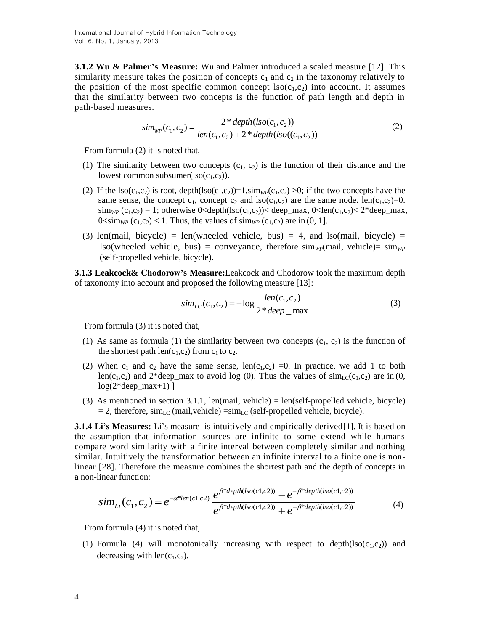**3.1.2 Wu & Palmer's Measure:** Wu and Palmer introduced a scaled measure [12]. This similarity measure takes the position of concepts  $c_1$  and  $c_2$  in the taxonomy relatively to the position of the most specific common concept  $lso(c_1,c_2)$  into account. It assumes that the similarity between two concepts is the function of path length and depth in path-based measures.

$$
sim_{WP}(c_1, c_2) = \frac{2 * depth(lso(c_1, c_2))}{len(c_1, c_2) + 2 * depth(lso((c_1, c_2))}
$$
\n(2)

From formula (2) it is noted that,

- (1) The similarity between two concepts  $(c_1, c_2)$  is the function of their distance and the lowest common subsumer( $\text{Iso}(c_1,c_2)$ ).
- (2) If the lso(c<sub>1</sub>,c<sub>2</sub>) is root, depth(lso(c<sub>1</sub>,c<sub>2</sub>))=1,sim<sub>*WP*</sub>(c<sub>1</sub>,c<sub>2</sub>) >0; if the two concepts have the same sense, the concept  $c_1$ , concept  $c_2$  and lso( $c_1,c_2$ ) are the same node. len( $c_1,c_2$ )=0.  $\lim_{WP}$  (c<sub>1</sub>,c<sub>2</sub>) = 1; otherwise 0<depth(lso(c<sub>1</sub>,c<sub>2</sub>))< deep\_max, 0<len(c<sub>1</sub>,c<sub>2</sub>)< 2\*deep\_max,  $0 \le \lim_{W_P} (c_1, c_2) < 1$ . Thus, the values of  $\lim_{W_P} (c_1, c_2)$  are in (0, 1].
- (3) len(mail, bicycle) = len(wheeled vehicle, bus) = 4, and lso(mail, bicycle) =  $\text{Iso}(\text{wheeled vehicle}, \text{bus}) = \text{convevance}, \text{therefore } \text{sim}_{W}(\text{mail}, \text{ vehicle}) = \text{sim}_{W}(\text{m}(\text{walk} \cdot \text{m}(\text{walk} \cdot \text{m}(\text{walk} \cdot \text{m}(\text{walk} \cdot \text{m}(\text{walk} \cdot \text{m}(\text{walk} \cdot \text{m}(\text{walk} \cdot \text{m}(\text{walk} \cdot \text{k}))))))$ (self-propelled vehicle, bicycle).

**3.1.3 Leakcock& Chodorow's Measure:**Leakcock and Chodorow took the maximum depth of taxonomy into account and proposed the following measure [13]:

$$
sim_{LC}(c_1, c_2) = -\log \frac{len(c_1, c_2)}{2 * deep \_max}
$$
 (3)

From formula (3) it is noted that,

- (1) As same as formula (1) the similarity between two concepts  $(c_1, c_2)$  is the function of the shortest path  $len(c_1, c_2)$  from  $c_1$  to  $c_2$ .
- (2) When  $c_1$  and  $c_2$  have the same sense, len( $c_1$ , $c_2$ ) =0. In practice, we add 1 to both len(c<sub>1</sub>,c<sub>2</sub>) and 2\*deep\_max to avoid log (0). Thus the values of  $\text{sim}_{\text{LC}}(c_1,c_2)$  are in (0,  $log(2*deep_max+1)$ ]
- (3) As mentioned in section 3.1.1, len(mail, vehicle) = len(self-propelled vehicle, bicycle)  $= 2$ , therefore, sim<sub>LC</sub> (mail,vehicle)  $=\text{sim}_{\text{LC}}$  (self-propelled vehicle, bicycle).

**3.1.4 Li's Measures:** Li's measure is intuitively and empirically derived [1]. It is based on the assumption that information sources are infinite to some extend while humans compare word similarity with a finite interval between completely similar and nothing similar. Intuitively the transformation between an infinite interval to a finite one is nonlinear [28]. Therefore the measure combines the shortest path and the depth of concepts in a non-linear function:

$$
sim_{Li}(c_1, c_2) = e^{-\alpha^*len(c_1, c_2)} \frac{e^{\beta^*depth(Iso(c_1, c_2))} - e^{-\beta^*depth(Iso(c_1, c_2))}}{e^{\beta^*depth(Iso(c_1, c_2))} + e^{-\beta^*depth(Iso(c_1, c_2))}}
$$
(4)

From formula (4) it is noted that,

(1) Formula (4) will monotonically increasing with respect to depth( $lso(c_1,c_2)$ ) and decreasing with  $len(c_1, c_2)$ .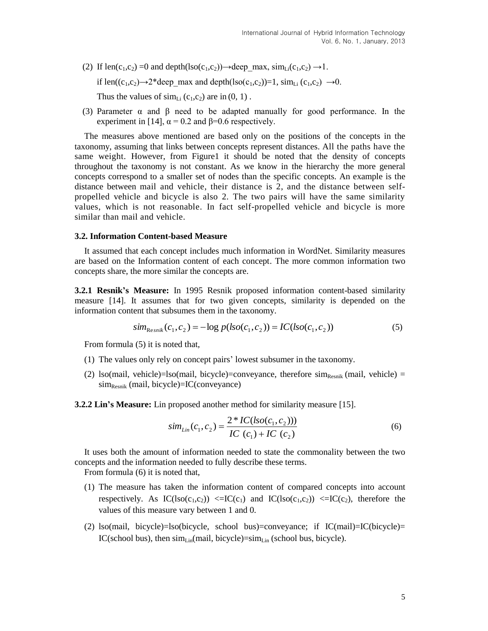(2) If len(c<sub>1</sub>,c<sub>2</sub>) =0 and depth(lso(c<sub>1</sub>,c<sub>2</sub>))→deep\_max, sim<sub>Li</sub>(c<sub>1</sub>,c<sub>2</sub>) →1.

if len((c<sub>1</sub>,c<sub>2</sub>) $\rightarrow$ 2\*deep max and depth(lso(c<sub>1</sub>,c<sub>2</sub>))=1, sim<sub>Li</sub> (c<sub>1</sub>,c<sub>2</sub>)  $\rightarrow$ 0.

Thus the values of  $\text{sim}_{Li}$  (c<sub>1</sub>,c<sub>2</sub>) are in (0, 1).

(3) Parameter  $\alpha$  and  $\beta$  need to be adapted manually for good performance. In the experiment in [14],  $\alpha$  = 0.2 and β=0.6 respectively.

The measures above mentioned are based only on the positions of the concepts in the taxonomy, assuming that links between concepts represent distances. All the paths have the same weight. However, from Figure1 it should be noted that the density of concepts throughout the taxonomy is not constant. As we know in the hierarchy the more general concepts correspond to a smaller set of nodes than the specific concepts. An example is the distance between mail and vehicle, their distance is 2, and the distance between selfpropelled vehicle and bicycle is also 2. The two pairs will have the same similarity values, which is not reasonable. In fact self-propelled vehicle and bicycle is more similar than mail and vehicle.

## **3.2. Information Content-based Measure**

It assumed that each concept includes much information in WordNet. Similarity measures are based on the Information content of each concept. The more common information two concepts share, the more similar the concepts are.

**3.2.1 Resnik's Measure:** In 1995 Resnik proposed information content-based similarity measure [14]. It assumes that for two given concepts, similarity is depended on the information content that subsumes them in the taxonomy.

$$
sim_{\text{Resnik}}(c_1, c_2) = -\log p(\text{Iso}(c_1, c_2)) = IC(\text{Iso}(c_1, c_2))
$$
\n(5)

From formula (5) it is noted that,

- (1) The values only rely on concept pairs' lowest subsumer in the taxonomy.
- (2) lso(mail, vehicle)=lso(mail, bicycle)=conveyance, therefore  $\sin_{\text{Resnik}}$  (mail, vehicle) =  $sim<sub>Resnik</sub>$  (mail, bicycle)=IC(conveyance)
- **3.2.2 Lin's Measure:** Lin proposed another method for similarity measure [15].

$$
sim_{Lin}(c_1, c_2) = \frac{2 * IC(iso(c_1, c_2)))}{IC(c_1) + IC(c_2)}
$$
\n(6)

It uses both the amount of information needed to state the commonality between the two concepts and the information needed to fully describe these terms.

From formula (6) it is noted that,

- (1) The measure has taken the information content of compared concepts into account respectively. As  $IC(Iso(c_1,c_2)) \leq I C(c_1)$  and  $IC(Iso(c_1,c_2)) \leq I C(c_2)$ , therefore the values of this measure vary between 1 and 0.
- (2) lso(mail, bicycle)=lso(bicycle, school bus)=conveyance; if IC(mail)=IC(bicycle)= IC(school bus), then  $\lim_{\text{Lin}}(\text{mail}, \text{bicycle}) = \lim_{\text{Lin}}(\text{school bus}, \text{bicycle})$ .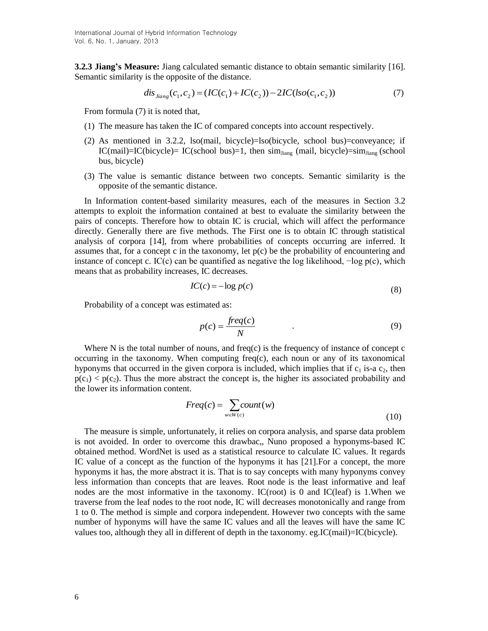**3.2.3 Jiang's Measure:** Jiang calculated semantic distance to obtain semantic similarity [16]. Semantic similarity is the opposite of the distance.

$$
dis_{Jiang}(c_1, c_2) = (IC(c_1) + IC(c_2)) - 2IC(Iso(c_1, c_2))
$$
\n<sup>(7)</sup>

From formula (7) it is noted that,

- (1) The measure has taken the IC of compared concepts into account respectively.
- (2) As mentioned in 3.2.2, lso(mail, bicycle)=lso(bicycle, school bus)=conveyance; if  $IC(mail)=IC(bicycle)=IC(school bus)=1$ , then sim<sub>Jiang</sub> (mail, bicycle)=sim<sub>Jiang</sub> (school bus, bicycle)
- (3) The value is semantic distance between two concepts. Semantic similarity is the opposite of the semantic distance.

In Information content-based similarity measures, each of the measures in Section 3.2 attempts to exploit the information contained at best to evaluate the similarity between the pairs of concepts. Therefore how to obtain IC is crucial, which will affect the performance directly. Generally there are five methods. The First one is to obtain IC through statistical analysis of corpora [14], from where probabilities of concepts occurring are inferred. It assumes that, for a concept c in the taxonomy, let  $p(c)$  be the probability of encountering and instance of concept c. IC(c) can be quantified as negative the log likelihood,  $-\log p(c)$ , which means that as probability increases, IC decreases.

$$
IC(c) = -\log p(c) \tag{8}
$$

Probability of a concept was estimated as:

$$
p(c) = \frac{freq(c)}{N}
$$
 (9)

Where N is the total number of nouns, and freq(c) is the frequency of instance of concept c occurring in the taxonomy. When computing freq $(c)$ , each noun or any of its taxonomical hyponyms that occurred in the given corpora is included, which implies that if  $c_1$  is-a  $c_2$ , then  $p(c_1) < p(c_2)$ . Thus the more abstract the concept is, the higher its associated probability and the lower its information content.

$$
Freq(c) = \sum_{w \in W(c)} count(w)
$$
\n(10)

The measure is simple, unfortunately, it relies on corpora analysis, and sparse data problem is not avoided. In order to overcome this drawbac,, Nuno proposed a hyponyms-based IC obtained method. WordNet is used as a statistical resource to calculate IC values. It regards IC value of a concept as the function of the hyponyms it has [21].For a concept, the more hyponyms it has, the more abstract it is. That is to say concepts with many hyponyms convey less information than concepts that are leaves. Root node is the least informative and leaf nodes are the most informative in the taxonomy. IC(root) is 0 and IC(leaf) is 1.When we traverse from the leaf nodes to the root node, IC will decreases monotonically and range from 1 to 0. The method is simple and corpora independent. However two concepts with the same number of hyponyms will have the same IC values and all the leaves will have the same IC values too, although they all in different of depth in the taxonomy. eg.IC(mail)=IC(bicycle).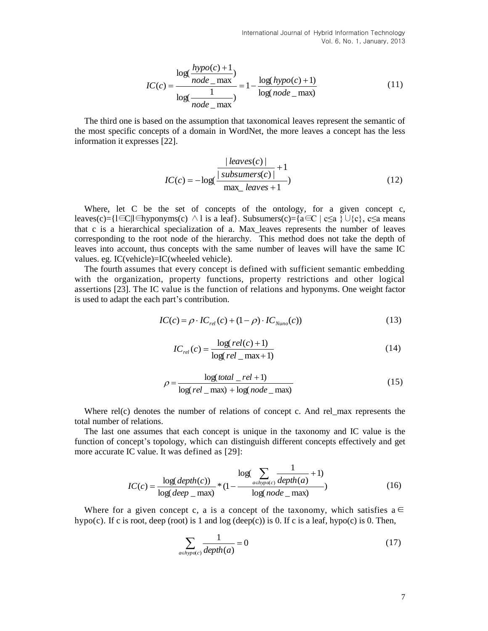$$
IC(c) = \frac{\log(\frac{hypo(c) + 1}{node\_max})}{\log(\frac{1}{node\_max})} = 1 - \frac{\log(hypo(c) + 1)}{\log(node\_max)}
$$
(11)

The third one is based on the assumption that taxonomical leaves represent the semantic of the most specific concepts of a domain in WordNet, the more leaves a concept has the less information it expresses [22].

$$
IC(c) = -\log(\frac{|\text{leaves}(c)|}{\text{max\_leaves} + 1})
$$
\n(12)

Where, let C be the set of concepts of the ontology, for a given concept c, leaves(c)={l∈C|l∈hyponyms(c) ∧ l is a leaf}. Subsumers(c)={a∈C | c≤a }∪{c}, c≤a means that c is a hierarchical specialization of a. Max\_leaves represents the number of leaves corresponding to the root node of the hierarchy. This method does not take the depth of leaves into account, thus concepts with the same number of leaves will have the same IC values. eg. IC(vehicle)=IC(wheeled vehicle).

The fourth assumes that every concept is defined with sufficient semantic embedding with the organization, property functions, property restrictions and other logical assertions [23]. The IC value is the function of relations and hyponyms. One weight factor is used to adapt the each part's contribution.

$$
IC(c) = \rho \cdot IC_{rel}(c) + (1 - \rho) \cdot IC_{Nuno}(c))
$$
\n(13)

$$
IC_{rel}(c) = \frac{\log (rel(c) + 1)}{\log (rel\_max + 1)}
$$
(14)

$$
\rho = \frac{\log (total \_rel + 1)}{\log (rel \_max) + \log (node \_max)}\tag{15}
$$

Where rel(c) denotes the number of relations of concept c. And rel\_max represents the total number of relations.

The last one assumes that each concept is unique in the taxonomy and IC value is the function of concept's topology, which can distinguish different concepts effectively and get more accurate IC value. It was defined as [29]:

$$
IC(c) = \frac{\log(depth(c))}{\log(deep_{max})} * (1 - \frac{\log(\sum_{a \in hypo(c)} \frac{1}{depth(a)} + 1)}{\log(node_{max})})
$$
(16)

Where for a given concept c, a is a concept of the taxonomy, which satisfies  $a \in$ hypo(c). If c is root, deep (root) is 1 and  $log$  (deep(c)) is 0. If c is a leaf, hypo(c) is 0. Then,

$$
\sum_{a \in hypo(c)} \frac{1}{depth(a)} = 0 \tag{17}
$$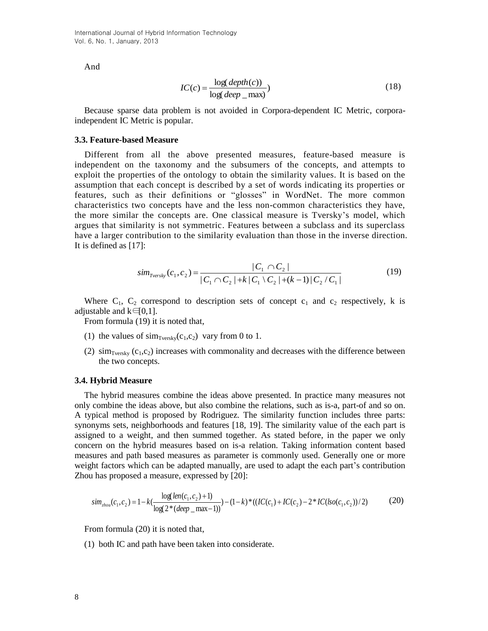And

$$
IC(c) = \frac{\log(depth(c))}{\log(deep_{max})}
$$
\n(18)

Because sparse data problem is not avoided in Corpora-dependent IC Metric, corporaindependent IC Metric is popular.

## **3.3. Feature-based Measure**

Different from all the above presented measures, feature-based measure is independent on the taxonomy and the subsumers of the concepts, and attempts to exploit the properties of the ontology to obtain the similarity values. It is based on the assumption that each concept is described by a set of words indicating its properties or features, such as their definitions or "glosses" in WordNet. The more common characteristics two concepts have and the less non-common characteristics they have, the more similar the concepts are. One classical measure is Tversky's model, which argues that similarity is not symmetric. Features between a subclass and its superclass have a larger contribution to the similarity evaluation than those in the inverse direction. It is defined as [17]:

$$
sim_{Tversky}(c_1, c_2) = \frac{|C_1 \cap C_2|}{|C_1 \cap C_2| + k |C_1 \setminus C_2| + (k-1) |C_2 / C_1|}
$$
(19)

Where  $C_1$ ,  $C_2$  correspond to description sets of concept  $c_1$  and  $c_2$  respectively, k is adjustable and  $k \in [0,1]$ .

From formula (19) it is noted that,

- (1) the values of  $\text{sim}_{\text{Tversky}}(c_1,c_2)$  vary from 0 to 1.
- (2)  $\sin_{\text{Tversky}} (c_1, c_2)$  increases with commonality and decreases with the difference between the two concepts.

#### **3.4. Hybrid Measure**

The hybrid measures combine the ideas above presented. In practice many measures not only combine the ideas above, but also combine the relations, such as is-a, part-of and so on. A typical method is proposed by Rodriguez. The similarity function includes three parts: synonyms sets, neighborhoods and features [18, 19]. The similarity value of the each part is assigned to a weight, and then summed together. As stated before, in the paper we only concern on the hybrid measures based on is-a relation. Taking information content based measures and path based measures as parameter is commonly used. Generally one or more weight factors which can be adapted manually, are used to adapt the each part's contribution Zhou has proposed a measure, expressed by [20]:

$$
sim_{\text{zhou}}(c_1, c_2) = 1 - k\left(\frac{\log(\text{len}(c_1, c_2) + 1)}{\log(2 * (\text{deep\_max} - 1))}\right) - (1 - k) * ((IC(c_1) + IC(c_2) - 2 * IC(\text{Iso}(c_1, c_2))/2)
$$
(20)

From formula (20) it is noted that,

(1) both IC and path have been taken into considerate.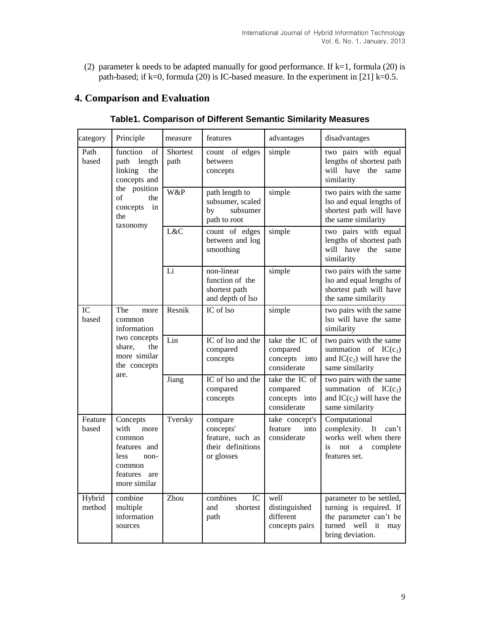(2) parameter k needs to be adapted manually for good performance. If  $k=1$ , formula (20) is path-based; if k=0, formula (20) is IC-based measure. In the experiment in [21] k=0.5.

# **4. Comparison and Evaluation**

| category         | Principle                                                                                                                            | measure                 | features                                                                    | advantages                                                 | disadvantages                                                                                                                  |
|------------------|--------------------------------------------------------------------------------------------------------------------------------------|-------------------------|-----------------------------------------------------------------------------|------------------------------------------------------------|--------------------------------------------------------------------------------------------------------------------------------|
| Path<br>based    | function<br>of<br>length<br>path<br>linking<br>the<br>concepts and<br>the position<br>of<br>the<br>concepts<br>in<br>the<br>taxonomy | <b>Shortest</b><br>path | count of edges<br>between<br>concepts                                       | simple                                                     | two pairs with equal<br>lengths of shortest path<br>will have the same<br>similarity                                           |
|                  |                                                                                                                                      | W&P                     | path length to<br>subsumer, scaled<br>subsumer<br>bv<br>path to root        | simple                                                     | two pairs with the same<br>lso and equal lengths of<br>shortest path will have<br>the same similarity                          |
|                  |                                                                                                                                      | L&C                     | count of edges<br>between and log<br>smoothing                              | simple                                                     | two pairs with equal<br>lengths of shortest path<br>will have the same<br>similarity                                           |
|                  |                                                                                                                                      | Li                      | non-linear<br>function of the<br>shortest path<br>and depth of lso          | simple                                                     | two pairs with the same<br>lso and equal lengths of<br>shortest path will have<br>the same similarity                          |
| IC<br>based      | The<br>more<br>common<br>information<br>two concepts<br>share,<br>the<br>more similar<br>the concepts<br>are.                        | Resnik                  | IC of lso                                                                   | simple                                                     | two pairs with the same<br>lso will have the same<br>similarity                                                                |
|                  |                                                                                                                                      | Lin                     | IC of lso and the<br>compared<br>concepts                                   | take the IC of<br>compared<br>concepts into<br>considerate | two pairs with the same<br>summation of $IC(c_1)$<br>and $IC(c_2)$ will have the<br>same similarity                            |
|                  |                                                                                                                                      | Jiang                   | IC of lso and the<br>compared<br>concepts                                   | take the IC of<br>compared<br>concepts into<br>considerate | two pairs with the same<br>summation of $IC(c_1)$<br>and $IC(c_2)$ will have the<br>same similarity                            |
| Feature<br>based | Concepts<br>with<br>more<br>common<br>features and<br>less<br>non-<br>common<br>features are<br>more similar                         | Tversky                 | compare<br>concepts'<br>feature, such as<br>their definitions<br>or glosses | take concept's<br>feature<br>into<br>considerate           | Computational<br>complexity.<br>It<br>can't<br>works well when there<br>is<br>not<br>complete<br>$\mathbf{a}$<br>features set. |
| Hybrid<br>method | combine<br>multiple<br>information<br>sources                                                                                        | Zhou                    | combines<br>IC<br>and<br>shortest<br>path                                   | well<br>distinguished<br>different<br>concepts pairs       | parameter to be settled,<br>turning is required. If<br>the parameter can't be<br>turned<br>well it<br>may<br>bring deviation.  |

# **Table1. Comparison of Different Semantic Similarity Measures**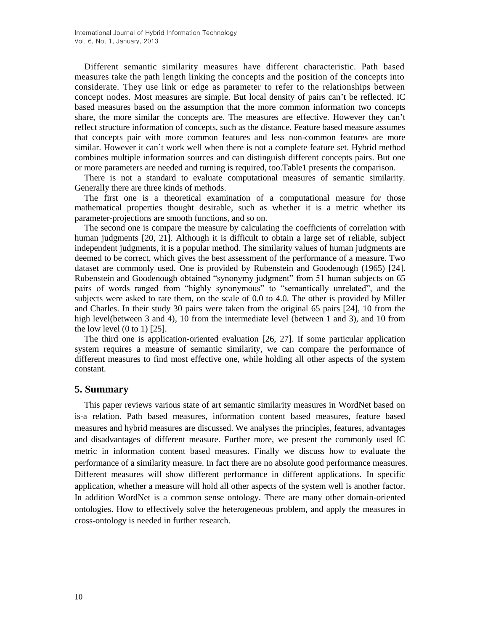Different semantic similarity measures have different characteristic. Path based measures take the path length linking the concepts and the position of the concepts into considerate. They use link or edge as parameter to refer to the relationships between concept nodes. Most measures are simple. But local density of pairs can't be reflected. IC based measures based on the assumption that the more common information two concepts share, the more similar the concepts are. The measures are effective. However they can't reflect structure information of concepts, such as the distance. Feature based measure assumes that concepts pair with more common features and less non-common features are more similar. However it can't work well when there is not a complete feature set. Hybrid method combines multiple information sources and can distinguish different concepts pairs. But one or more parameters are needed and turning is required, too.Table1 presents the comparison.

There is not a standard to evaluate computational measures of semantic similarity. Generally there are three kinds of methods.

The first one is a theoretical examination of a computational measure for those mathematical properties thought desirable, such as whether it is a metric whether its parameter-projections are smooth functions, and so on.

The second one is compare the measure by calculating the coefficients of correlation with human judgments [20, 21]. Although it is difficult to obtain a large set of reliable, subject independent judgments, it is a popular method. The similarity values of human judgments are deemed to be correct, which gives the best assessment of the performance of a measure. Two dataset are commonly used. One is provided by Rubenstein and Goodenough (1965) [24]. Rubenstein and Goodenough obtained "synonymy judgment" from 51 human subjects on 65 pairs of words ranged from "highly synonymous" to "semantically unrelated", and the subjects were asked to rate them, on the scale of 0.0 to 4.0. The other is provided by Miller and Charles. In their study 30 pairs were taken from the original 65 pairs [24], 10 from the high level(between 3 and 4), 10 from the intermediate level (between 1 and 3), and 10 from the low level  $(0 \text{ to } 1)$   $[25]$ .

The third one is application-oriented evaluation [26, 27]. If some particular application system requires a measure of semantic similarity, we can compare the performance of different measures to find most effective one, while holding all other aspects of the system constant.

# **5. Summary**

This paper reviews various state of art semantic similarity measures in WordNet based on is-a relation. Path based measures, information content based measures, feature based measures and hybrid measures are discussed. We analyses the principles, features, advantages and disadvantages of different measure. Further more, we present the commonly used IC metric in information content based measures. Finally we discuss how to evaluate the performance of a similarity measure. In fact there are no absolute good performance measures. Different measures will show different performance in different applications. In specific application, whether a measure will hold all other aspects of the system well is another factor. In addition WordNet is a common sense ontology. There are many other domain-oriented ontologies. How to effectively solve the heterogeneous problem, and apply the measures in cross-ontology is needed in further research.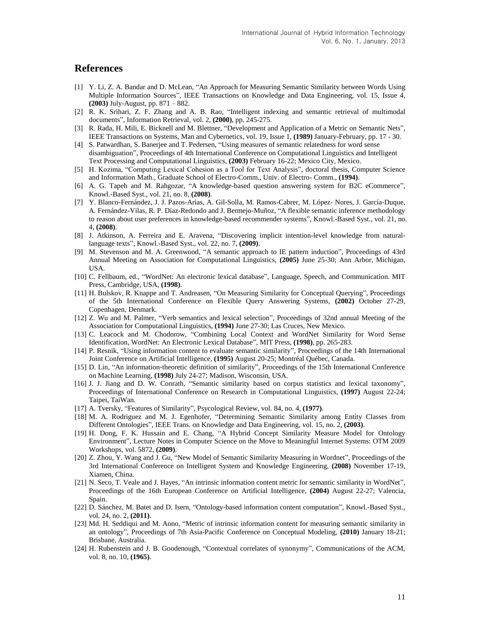## **References**

- [1] Y. Li, Z. A. Bandar and D. McLean, "An Approach for Measuring Semantic Similarity between Words Using Multiple Information Sources", IEEE Transactions on Knowledge and Data Engineering, vol. 15, Issue 4, **(2003)** July-August, pp. 871 – 882.
- [2] R. K. Srihari, Z. F. Zhang and A. B. Rao, "Intelligent indexing and semantic retrieval of multimodal documents", Information Retrieval, vol. 2, **(2000)**, pp. 245-275.
- [3] R. Rada, H. Mili, E. Bicknell and M. Blettner, "Development and Application of a Metric on Semantic Nets", IEEE Transactions on Systems, Man and Cybernetics, vol. 19, Issue 1, **(1989)** January-February, pp. 17 - 30.
- [4] S. Patwardhan, S. Banerjee and T. Pedersen, "Using measures of semantic relatedness for word sense disambiguation", Proceedings of 4th International Conference on Computational Linguistics and Intelligent Text Processing and Computational Linguistics, **(2003)** February 16-22; Mexico City, Mexico.
- [5] H. Kozima, "Computing Lexical Cohesion as a Tool for Text Analysis", doctoral thesis, Computer Science and Information Math., Graduate School of Electro-Comm., Univ. of Electro- Comm., **(1994)**.
- [6] A. G. Tapeh and M. Rahgozar, "A knowledge-based question answering system for B2C eCommerce", Knowl.-Based Syst., vol. 21, no. 8, **(2008)**.
- [7] Y. Blanco-Fernández, J. J. Pazos-Arias, A. Gil-Solla, M. Ramos-Cabrer, M. López- Nores, J. García-Duque, A. Fernández-Vilas, R. P. Díaz-Redondo and J. Bermejo-Muñoz, "A flexible semantic inference methodology to reason about user preferences in knowledge-based recommender systems", Knowl.-Based Syst., vol. 21, no. 4, **(2008)**.
- [8] J. Atkinson, A. Ferreira and E. Aravena, "Discovering implicit intention-level knowledge from naturallanguage texts", Knowl.-Based Syst., vol. 22, no. 7, **(2009)**.
- [9] M. Stevenson and M. A. Greenwood, "A semantic approach to IE pattern induction", Proceedings of 43rd Annual Meeting on Association for Computational Linguistics, **(2005)** June 25-30; Ann Arbor, Michigan, USA.
- [10] C. Fellbaum, ed., "WordNet: An electronic lexical database", Language, Speech, and Communication. MIT Press, Cambridge, USA, **(1998)**.
- [11] H. Bulskov, R. Knappe and T. Andreasen, "On Measuring Similarity for Conceptual Querying", Proceedings of the 5th International Conference on Flexible Query Answering Systems, **(2002)** October 27-29, Copenhagen, Denmark.
- [12] Z. Wu and M. Palmer, "Verb semantics and lexical selection", Proceedings of 32nd annual Meeting of the Association for Computational Linguistics, **(1994)** June 27-30; Las Cruces, New Mexico.
- [13] C. Leacock and M. Chodorow, "Combining Local Context and WordNet Similarity for Word Sense Identification, WordNet: An Electronic Lexical Database", MIT Press, **(1998)**, pp. 265-283.
- [14] P. Resnik, "Using information content to evaluate semantic similarity", Proceedings of the 14th International Joint Conference on Artificial Intelligence, **(1995)** August 20-25; Montréal Québec, Canada.
- [15] D. Lin, "An information-theoretic definition of similarity", Proceedings of the 15th International Conference on Machine Learning, **(1998)** July 24-27; Madison, Wisconsin, USA.
- [16] J. J. Jiang and D. W. Conrath, "Semantic similarity based on corpus statistics and lexical taxonomy", Proceedings of International Conference on Research in Computational Linguistics, **(1997)** August 22-24; Taipei, TaiWan.
- [17] A. Tversky, "Features of Similarity", Psycological Review, vol. 84, no. 4, **(1977)**.
- [18] M. A. Rodriguez and M. J. Egenhofer, "Determining Semantic Similarity among Entity Classes from Different Ontologies", IEEE Trans. on Knowledge and Data Engineering, vol. 15, no. 2, **(2003)**.
- [19] H. Dong, F. K. Hussain and E. Chang, "A Hybrid Concept Similarity Measure Model for Ontology Environment", Lecture Notes in Computer Science on the Move to Meaningful Internet Systems: OTM 2009 Workshops, vol. 5872, **(2009)**.
- [20] Z. Zhou, Y. Wang and J. Gu, "New Model of Semantic Similarity Measuring in Wordnet", Proceedings of the 3rd International Conference on Intelligent System and Knowledge Engineering, **(2008)** November 17-19, Xiamen, China.
- [21] N. Seco, T. Veale and J. Hayes, "An intrinsic information content metric for semantic similarity in WordNet", Proceedings of the 16th European Conference on Artificial Intelligence, **(2004)** August 22-27; Valencia, Spain.
- [22] D. Sánchez, M. Batet and D. Isern, "Ontology-based information content computation", Knowl.-Based Syst., vol. 24, no. 2, **(2011)**.
- [23] Md. H. Seddiqui and M. Aono, "Metric of intrinsic information content for measuring semantic similarity in an ontology", Proceedings of 7th Asia-Pacific Conference on Conceptual Modeling, **(2010)** January 18-21; Brisbane, Australia.
- [24] H. Rubenstein and J. B. Goodenough, "Contextual correlates of synonymy", Communications of the ACM, vol. 8, no. 10, **(1965)**.